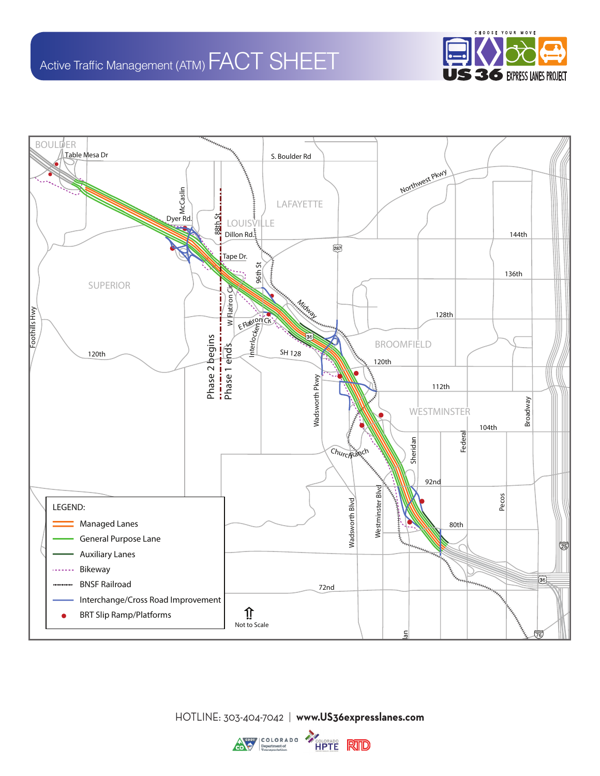



HOTLINE: 303-404-7042 | **www.US36expresslanes.com**